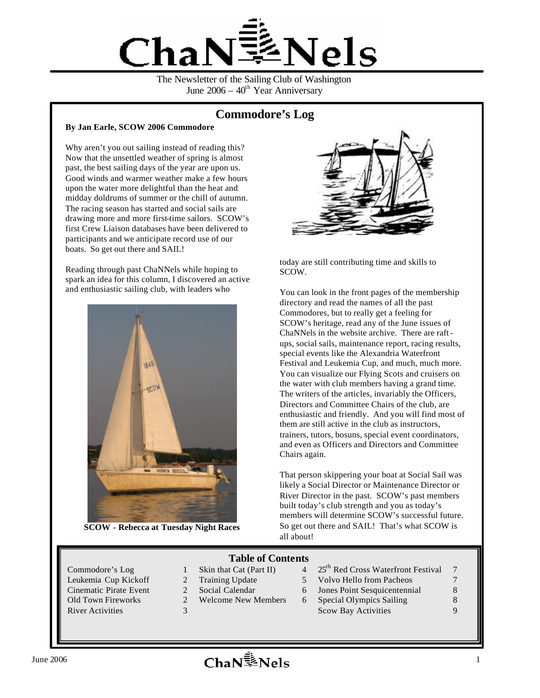

The Newsletter of the Sailing Club of Washington June  $2006 - 40<sup>th</sup>$  Year Anniversary

# **Commodore's Log**

#### **By Jan Earle, SCOW 2006 Commodore**

Why aren't you out sailing instead of reading this? Now that the unsettled weather of spring is almost past, the best sailing days of the year are upon us. Good winds and warmer weather make a few hours upon the water more delightful than the heat and midday doldrums of summer or the chill of autumn. The racing season has started and social sails are drawing more and more first-time sailors. SCOW's first Crew Liaison databases have been delivered to participants and we anticipate record use of our boats. So get out there and SAIL!

Reading through past ChaNNels while hoping to spark an idea for this column, I discovered an active and enthusiastic sailing club, with leaders who



**SCOW - Rebecca at Tuesday Night Races**



today are still contributing time and skills to SCOW.

You can look in the front pages of the membership directory and read the names of all the past Commodores, but to really get a feeling for SCOW's heritage, read any of the June issues of ChaNNels in the website archive. There are raftups, social sails, maintenance report, racing results, special events like the Alexandria Waterfront Festival and Leukemia Cup, and much, much more. You can visualize our Flying Scots and cruisers on the water with club members having a grand time. The writers of the articles, invariably the Officers, Directors and Committee Chairs of the club, are enthusiastic and friendly. And you will find most of them are still active in the club as instructors, trainers, tutors, bosuns, special event coordinators, and even as Officers and Directors and Committee Chairs again.

That person skippering your boat at Social Sail was likely a Social Director or Maintenance Director or River Director in the past. SCOW's past members built today's club strength and you as today's members will determine SCOW's successful future. So get out there and SAIL! That's what SCOW is all about!

## **Table of Contents**

- 
- 
- 
- 
- Commodore's Log 1 Skin that Cat (Part II) 4 25<sup>th</sup> Red Cross Waterfront Festival 7
- Leukemia Cup Kickoff 2 Training Update 5 Volvo Hello from Pacheos 7
- Cinematic Pirate Event 2 Social Calendar 6 Jones Point Sesquicentennial 8
- Old Town Fireworks 2 Welcome New Members 6 Special Olympics Sailing 8 River Activities 3 3 Scow Bay Activities 3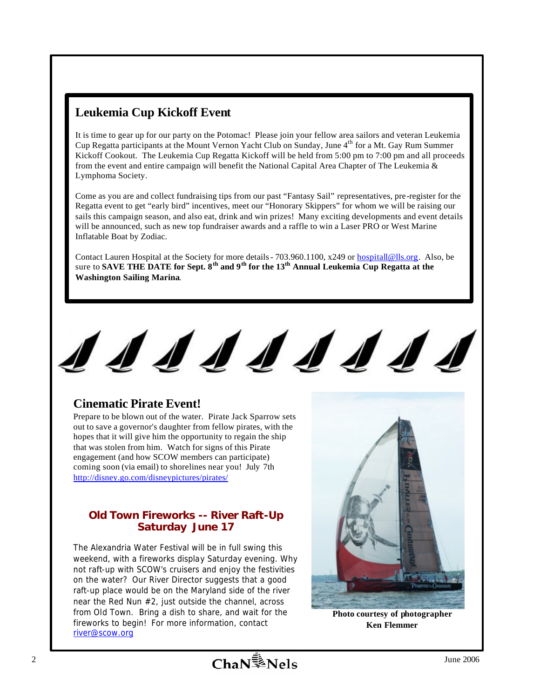# **Leukemia Cup Kickoff Event**

It is time to gear up for our party on the Potomac! Please join your fellow area sailors and veteran Leukemia Cup Regatta participants at the Mount Vernon Yacht Club on Sunday, June 4<sup>th</sup> for a Mt. Gay Rum Summer Kickoff Cookout. The Leukemia Cup Regatta Kickoff will be held from 5:00 pm to 7:00 pm and all proceeds from the event and entire campaign will benefit the National Capital Area Chapter of The Leukemia  $\&$ Lymphoma Society.

Come as you are and collect fundraising tips from our past "Fantasy Sail" representatives, pre-register for the Regatta event to get "early bird" incentives, meet our "Honorary Skippers" for whom we will be raising our sails this campaign season, and also eat, drink and win prizes! Many exciting developments and event details will be announced, such as new top fundraiser awards and a raffle to win a Laser PRO or West Marine Inflatable Boat by Zodiac.

Contact Lauren Hospital at the Society for more details - 703.960.1100, x249 or **hospitall@lls.org**. Also, be sure to **SAVE THE DATE for Sept. 8th and 9th for the 13th Annual Leukemia Cup Regatta at the Washington Sailing Marina**.



# **Cinematic Pirate Event!**

Prepare to be blown out of the water. Pirate Jack Sparrow sets out to save a governor's daughter from fellow pirates, with the hopes that it will give him the opportunity to regain the ship that was stolen from him. Watch for signs of this Pirate engagement (and how SCOW members can participate) coming soon (via email) to shorelines near you! July 7th http://disney.go.com/disneypictures/pirates/

# **Old Town Fireworks -- River Raft-Up Saturday June 17**

The Alexandria Water Festival will be in full swing this weekend, with a fireworks display Saturday evening. Why not raft-up with SCOW's cruisers and enjoy the festivities on the water? Our River Director suggests that a good raft-up place would be on the Maryland side of the river near the Red Nun #2, just outside the channel, across from Old Town. Bring a dish to share, and wait for the fireworks to begin! For more information, contact river@scow.org



**Photo courtesy of photographer Ken Flemmer**

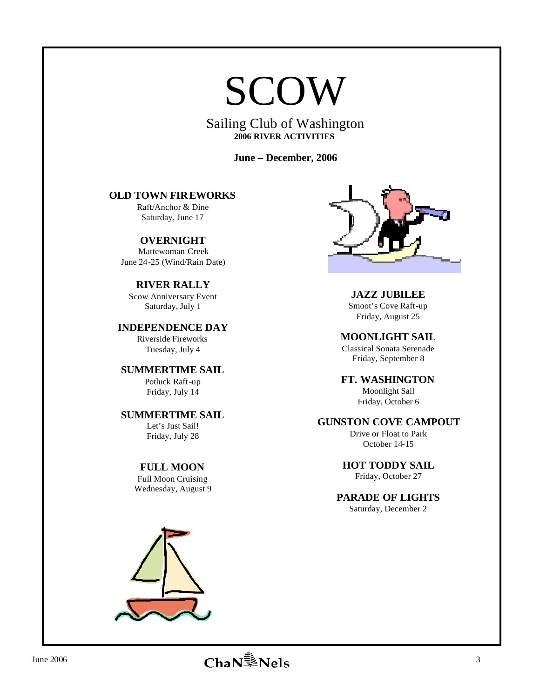# SCOW

Sailing Club of Washington **2006 RIVER ACTIVITIES**

**June – December, 2006**

# **OLD TOWN FIREWORKS**

Raft/Anchor & Dine Saturday, June 17

**OVERNIGHT**  Mattewoman Creek June 24-25 (Wind/Rain Date)

**RIVER RALLY** Scow Anniversary Event Saturday, July 1

**INDEPENDENCE DAY** Riverside Fireworks Tuesday, July 4

**SUMMERTIME SAIL** Potluck Raft-up

Friday, July 14

**SUMMERTIME SAIL** Let's Just Sail! Friday, July 28

**FULL MOON**

Full Moon Cruising Wednesday, August 9



**JAZZ JUBILEE** Smoot's Cove Raft-up

Friday, August 25

**MOONLIGHT SAIL** Classical Sonata Serenade Friday, September 8

**FT. WASHINGTON** Moonlight Sail

Friday, October 6

# **GUNSTON COVE CAMPOUT**

Drive or Float to Park October 14-15

**HOT TODDY SAIL**

Friday, October 27

**PARADE OF LIGHTS**

Saturday, December 2

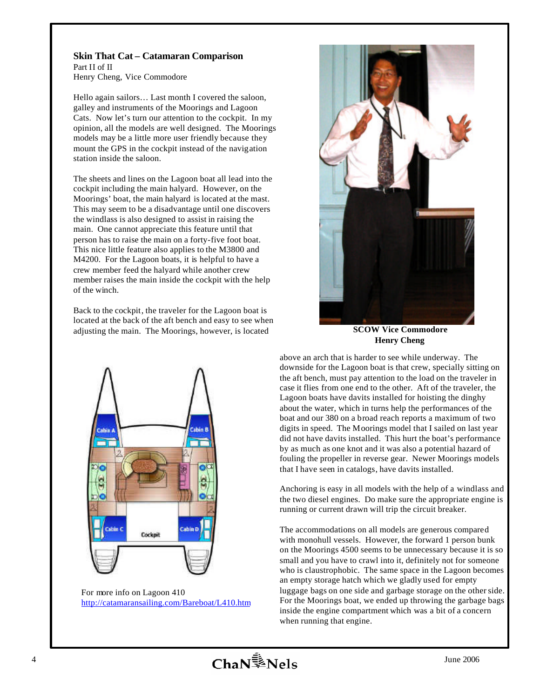# **Skin That Cat – Catamaran Comparison**  Part II of II

Henry Cheng, Vice Commodore

Hello again sailors… Last month I covered the saloon, galley and instruments of the Moorings and Lagoon Cats. Now let's turn our attention to the cockpit. In my opinion, all the models are well designed. The Moorings models may be a little more user friendly because they mount the GPS in the cockpit instead of the navigation station inside the saloon.

The sheets and lines on the Lagoon boat all lead into the cockpit including the main halyard. However, on the Moorings' boat, the main halyard is located at the mast. This may seem to be a disadvantage until one discovers the windlass is also designed to assist in raising the main. One cannot appreciate this feature until that person has to raise the main on a forty-five foot boat. This nice little feature also applies to the M3800 and M4200. For the Lagoon boats, it is helpful to have a crew member feed the halyard while another crew member raises the main inside the cockpit with the help of the winch.

Back to the cockpit, the traveler for the Lagoon boat is located at the back of the aft bench and easy to see when adjusting the main. The Moorings, however, is located



For more info on Lagoon 410 http://catamaransailing.com/Bareboat/L410.htm



**SCOW Vice Commodore Henry Cheng**

above an arch that is harder to see while underway. The downside for the Lagoon boat is that crew, specially sitting on the aft bench, must pay attention to the load on the traveler in case it flies from one end to the other. Aft of the traveler, the Lagoon boats have davits installed for hoisting the dinghy about the water, which in turns help the performances of the boat and our 380 on a broad reach reports a maximum of two digits in speed. The Moorings model that I sailed on last year did not have davits installed. This hurt the boat's performance by as much as one knot and it was also a potential hazard of fouling the propeller in reverse gear. Newer Moorings models that I have seen in catalogs, have davits installed.

Anchoring is easy in all models with the help of a windlass and the two diesel engines. Do make sure the appropriate engine is running or current drawn will trip the circuit breaker.

The accommodations on all models are generous compared with monohull vessels. However, the forward 1 person bunk on the Moorings 4500 seems to be unnecessary because it is so small and you have to crawl into it, definitely not for someone who is claustrophobic. The same space in the Lagoon becomes an empty storage hatch which we gladly used for empty luggage bags on one side and garbage storage on the other side. For the Moorings boat, we ended up throwing the garbage bags inside the engine compartment which was a bit of a concern when running that engine.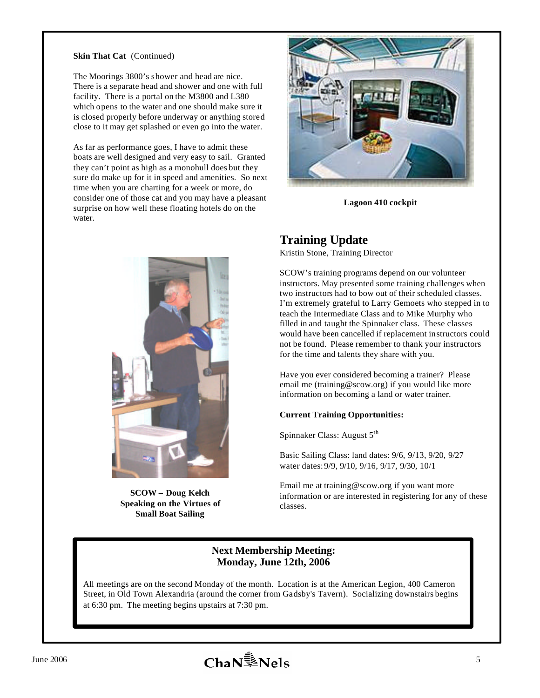#### **Skin That Cat** (Continued)

The Moorings 3800's shower and head are nice. There is a separate head and shower and one with full facility. There is a portal on the M3800 and L380 which opens to the water and one should make sure it is closed properly before underway or anything stored close to it may get splashed or even go into the water.

As far as performance goes, I have to admit these boats are well designed and very easy to sail. Granted they can't point as high as a monohull does but they sure do make up for it in speed and amenities. So next time when you are charting for a week or more, do consider one of those cat and you may have a pleasant surprise on how well these floating hotels do on the water.



**SCOW – Doug Kelch Speaking on the Virtues of Small Boat Sailing**



**Lagoon 410 cockpit**

# **Training Update**

Kristin Stone, Training Director

SCOW's training programs depend on our volunteer instructors. May presented some training challenges when two instructors had to bow out of their scheduled classes. I'm extremely grateful to Larry Gemoets who stepped in to teach the Intermediate Class and to Mike Murphy who filled in and taught the Spinnaker class. These classes would have been cancelled if replacement instructors could not be found. Please remember to thank your instructors for the time and talents they share with you.

Have you ever considered becoming a trainer? Please email me (training@scow.org) if you would like more information on becoming a land or water trainer.

#### **Current Training Opportunities:**

Spinnaker Class: August 5<sup>th</sup>

Basic Sailing Class: land dates: 9/6, 9/13, 9/20, 9/27 water dates:9/9, 9/10, 9/16, 9/17, 9/30, 10/1

Email me at training@scow.org if you want more information or are interested in registering for any of these classes.

#### **Next Membership Meeting: Monday, June 12th, 2006**

All meetings are on the second Monday of the month. Location is at the American Legion, 400 Cameron Street, in Old Town Alexandria (around the corner from Gadsby's Tavern). Socializing downstairs begins at 6:30 pm. The meeting begins upstairs at 7:30 pm.

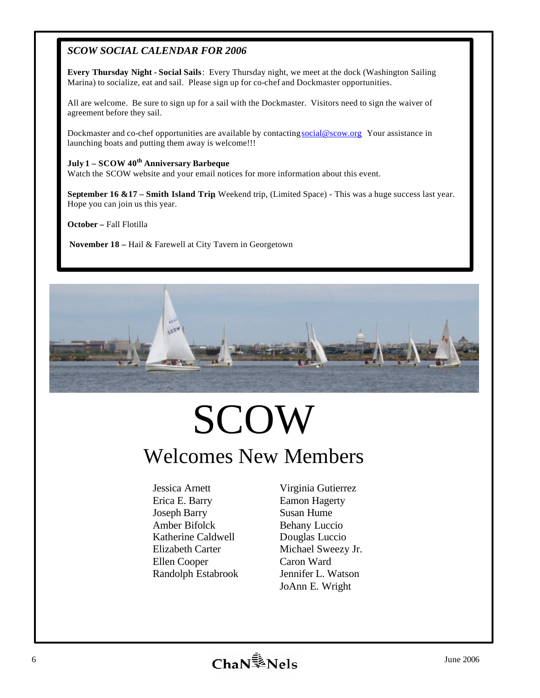# *SCOW SOCIAL CALENDAR FOR 2006*

**Every Thursday Night - Social Sails**: Every Thursday night, we meet at the dock (Washington Sailing Marina) to socialize, eat and sail. Please sign up for co-chef and Dockmaster opportunities.

All are welcome. Be sure to sign up for a sail with the Dockmaster. Visitors need to sign the waiver of agreement before they sail.

Dockmaster and co-chef opportunities are available by contacting social@scow.org Your assistance in launching boats and putting them away is welcome!!!

#### **July 1 – SCOW 40th Anniversary Barbeque**

Watch the SCOW website and your email notices for more information about this event.

**September 16 &17 – Smith Island Trip**, Weekend trip, (Limited Space) - This was a huge success last year. Hope you can join us this year.

**October –** Fall Flotilla

**November 18 –** Hail & Farewell at City Tavern in Georgetown



# SCOW Welcomes New Members

Jessica Arnett Erica E. Barry Joseph Barry Amber Bifolck Katherine Caldwell Elizabeth Carter Ellen Cooper Randolph Estabrook

Virginia Gutierrez Eamon Hagerty Susan Hume Behany Luccio Douglas Luccio Michael Sweezy Jr. Caron Ward Jennifer L. Watson JoAnn E. Wright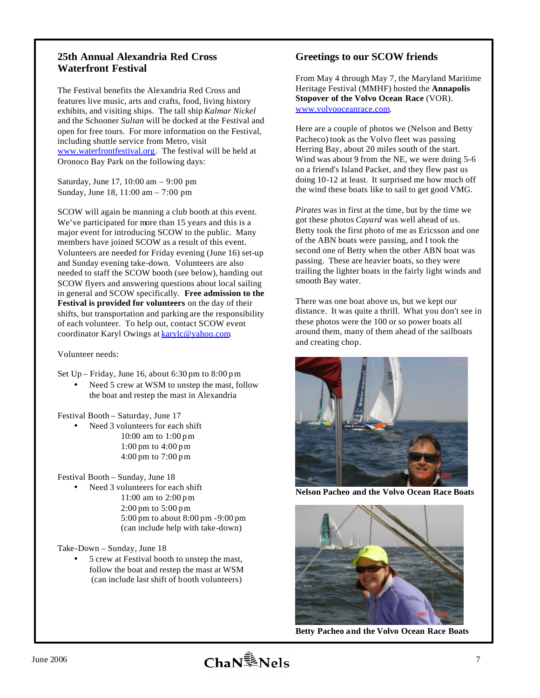# **25th Annual Alexandria Red Cross Waterfront Festival**

The Festival benefits the Alexandria Red Cross and features live music, arts and crafts, food, living history exhibits, and visiting ships. The tall ship *Kalmar Nickel* and the Schooner *Sultan* will be docked at the Festival and open for free tours. For more information on the Festival, including shuttle service from Metro, visit www.waterfrontfestival.org. The festival will be held at Oronoco Bay Park on the following days:

Saturday, June 17, 10:00 am – 9:00 pm Sunday, June 18, 11:00 am – 7:00 pm

SCOW will again be manning a club booth at this event. We've participated for more than 15 years and this is a major event for introducing SCOW to the public. Many members have joined SCOW as a result of this event. Volunteers are needed for Friday evening (June 16) set-up and Sunday evening take-down. Volunteers are also needed to staff the SCOW booth (see below), handing out SCOW flyers and answering questions about local sailing in general and SCOW specifically. **Free admission to the Festival is provided for volunteers** on the day of their shifts, but transportation and parking are the responsibility of each volunteer. To help out, contact SCOW event coordinator Karyl Owings at **karylc@yahoo.com**.

#### Volunteer needs:

Set  $Up - Friday$ , June 16, about 6:30 pm to 8:00 pm

Need 5 crew at WSM to unstep the mast, follow the boat and restep the mast in Alexandria

Festival Booth – Saturday, June 17

Need 3 volunteers for each shift 10:00 am to 1:00 p m 1:00 pm to 4:00 p m 4:00 pm to 7:00 p m

Festival Booth – Sunday, June 18

Need 3 volunteers for each shift 11:00 am to 2:00 p m 2:00 pm to 5:00 p m 5:00 pm to about 8:00 pm -9:00 pm (can include help with take-down)

Take-Down – Sunday, June 18

• 5 crew at Festival booth to unstep the mast, follow the boat and restep the mast at WSM (can include last shift of booth volunteers)

# **Greetings to our SCOW friends**

From May 4 through May 7, the Maryland Maritime Heritage Festival (MMHF) hosted the **Annapolis Stopover of the Volvo Ocean Race** (VOR). www.volvooceanrace.com.

Here are a couple of photos we (Nelson and Betty Pacheco) took as the Volvo fleet was passing Herring Bay, about 20 miles south of the start. Wind was about 9 from the NE, we were doing 5-6 on a friend's Island Packet, and they flew past us doing 10-12 at least. It surprised me how much off the wind these boats like to sail to get good VMG.

*Pirates* was in first at the time, but by the time we got these photos *Cayard* was well ahead of us. Betty took the first photo of me as Ericsson and one of the ABN boats were passing, and I took the second one of Betty when the other ABN boat was passing. These are heavier boats, so they were trailing the lighter boats in the fairly light winds and smooth Bay water.

There was one boat above us, but we kept our distance. It was quite a thrill. What you don't see in these photos were the 100 or so power boats all around them, many of them ahead of the sailboats and creating chop.



**Nelson Pacheo and the Volvo Ocean Race Boats**



**Betty Pacheo and the Volvo Ocean Race Boats**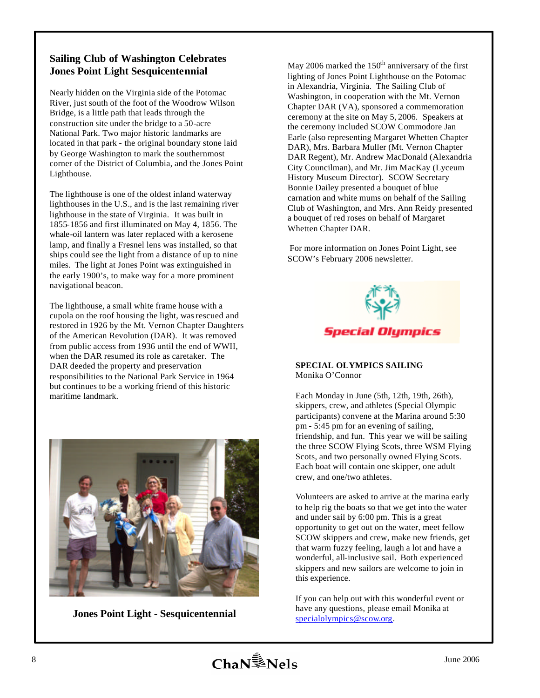# **Sailing Club of Washington Celebrates Jones Point Light Sesquicentennial**

Nearly hidden on the Virginia side of the Potomac River, just south of the foot of the Woodrow Wilson Bridge, is a little path that leads through the construction site under the bridge to a 50-acre National Park. Two major historic landmarks are located in that park - the original boundary stone laid by George Washington to mark the southernmost corner of the District of Columbia, and the Jones Point Lighthouse.

The lighthouse is one of the oldest inland waterway lighthouses in the U.S., and is the last remaining river lighthouse in the state of Virginia. It was built in 1855-1856 and first illuminated on May 4, 1856. The whale-oil lantern was later replaced with a kerosene lamp, and finally a Fresnel lens was installed, so that ships could see the light from a distance of up to nine miles. The light at Jones Point was extinguished in the early 1900's, to make way for a more prominent navigational beacon.

The lighthouse, a small white frame house with a cupola on the roof housing the light, was rescued and restored in 1926 by the Mt. Vernon Chapter Daughters of the American Revolution (DAR). It was removed from public access from 1936 until the end of WWII, when the DAR resumed its role as caretaker. The DAR deeded the property and preservation responsibilities to the National Park Service in 1964 but continues to be a working friend of this historic maritime landmark.



**Jones Point Light - Sesquicentennial**

May 2006 marked the  $150<sup>th</sup>$  anniversary of the first lighting of Jones Point Lighthouse on the Potomac in Alexandria, Virginia. The Sailing Club of Washington, in cooperation with the Mt. Vernon Chapter DAR (VA), sponsored a commemoration ceremony at the site on May 5, 2006. Speakers at the ceremony included SCOW Commodore Jan Earle (also representing Margaret Whetten Chapter DAR), Mrs. Barbara Muller (Mt. Vernon Chapter DAR Regent), Mr. Andrew MacDonald (Alexandria City Councilman), and Mr. Jim MacKay (Lyceum History Museum Director). SCOW Secretary Bonnie Dailey presented a bouquet of blue carnation and white mums on behalf of the Sailing Club of Washington, and Mrs. Ann Reidy presented a bouquet of red roses on behalf of Margaret Whetten Chapter DAR.

 For more information on Jones Point Light, see SCOW's February 2006 newsletter.



#### **SPECIAL OLYMPICS SAILING** Monika O'Connor

Each Monday in June (5th, 12th, 19th, 26th), skippers, crew, and athletes (Special Olympic participants) convene at the Marina around 5:30 pm - 5:45 pm for an evening of sailing, friendship, and fun. This year we will be sailing the three SCOW Flying Scots, three WSM Flying Scots, and two personally owned Flying Scots. Each boat will contain one skipper, one adult crew, and one/two athletes.

Volunteers are asked to arrive at the marina early to help rig the boats so that we get into the water and under sail by 6:00 pm. This is a great opportunity to get out on the water, meet fellow SCOW skippers and crew, make new friends, get that warm fuzzy feeling, laugh a lot and have a wonderful, all-inclusive sail. Both experienced skippers and new sailors are welcome to join in this experience.

If you can help out with this wonderful event or have any questions, please email Monika at specialolympics@scow.org.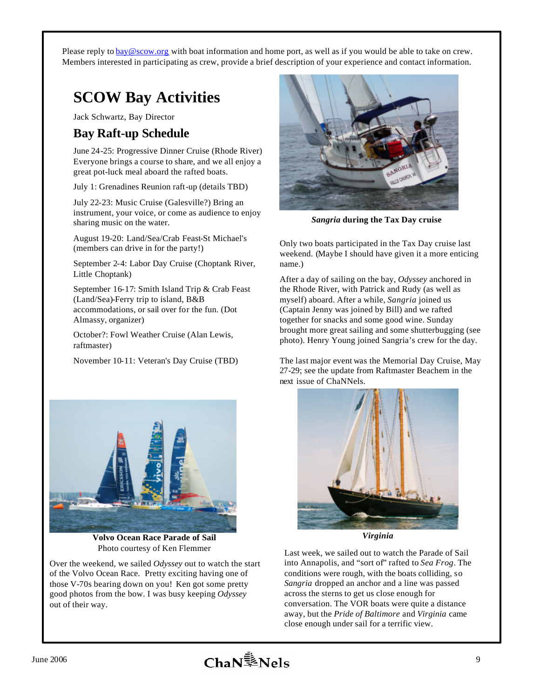Please reply to bay@scow.org with boat information and home port, as well as if you would be able to take on crew. Members interested in participating as crew, provide a brief description of your experience and contact information.

# **SCOW Bay Activities**

Jack Schwartz, Bay Director

# **Bay Raft-up Schedule**

June 24-25: Progressive Dinner Cruise (Rhode River) Everyone brings a course to share, and we all enjoy a great pot-luck meal aboard the rafted boats.

July 1: Grenadines Reunion raft-up (details TBD)

July 22-23: Music Cruise (Galesville?) Bring an instrument, your voice, or come as audience to enjoy sharing music on the water.

August 19-20: Land/Sea/Crab Feast-St Michael's (members can drive in for the party!)

September 2-4: Labor Day Cruise (Choptank River, Little Choptank)

September 16-17: Smith Island Trip & Crab Feast (Land/Sea)-Ferry trip to island, B&B accommodations, or sail over for the fun. (Dot Almassy, organizer)

October?: Fowl Weather Cruise (Alan Lewis, raftmaster)

November 10-11: Veteran's Day Cruise (TBD)



*Sangria* **during the Tax Day cruise**

Only two boats participated in the Tax Day cruise last weekend. (Maybe I should have given it a more enticing name.)

After a day of sailing on the bay, *Odyssey* anchored in the Rhode River, with Patrick and Rudy (as well as myself) aboard. After a while, *Sangria* joined us (Captain Jenny was joined by Bill) and we rafted together for snacks and some good wine. Sunday brought more great sailing and some shutterbugging (see photo). Henry Young joined Sangria's crew for the day.

The last major event was the Memorial Day Cruise, May 27-29; see the update from Raftmaster Beachem in the next issue of ChaNNels.



*Virginia*

Last week, we sailed out to watch the Parade of Sail into Annapolis, and "sort of" rafted to *Sea Frog*. The conditions were rough, with the boats colliding, so *Sangria* dropped an anchor and a line was passed across the sterns to get us close enough for conversation. The VOR boats were quite a distance away, but the *Pride of Baltimore* and *Virginia* came close enough under sail for a terrific view.



**Volvo Ocean Race Parade of Sail** Photo courtesy of Ken Flemmer

Over the weekend, we sailed *Odyssey* out to watch the start of the Volvo Ocean Race. Pretty exciting having one of those V-70s bearing down on you! Ken got some pretty good photos from the bow. I was busy keeping *Odyssey* out of their way.